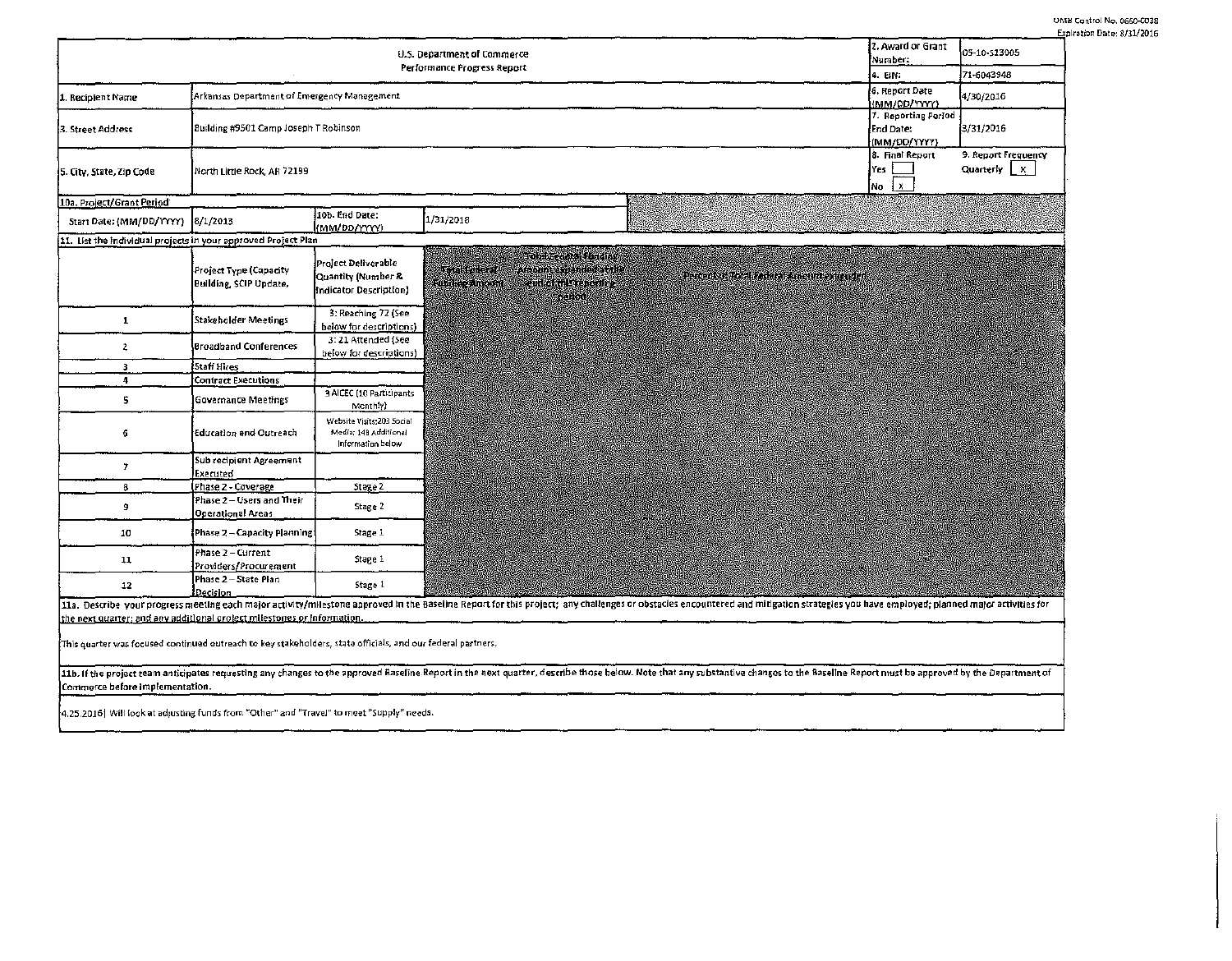|                                                                                                                                                                                                                                |                                                                    |                                                                         |                                                                                                                          |                                                                                                                                                                                                                                | 2. Award or Grant                                     | <u>Ехр</u>                           |
|--------------------------------------------------------------------------------------------------------------------------------------------------------------------------------------------------------------------------------|--------------------------------------------------------------------|-------------------------------------------------------------------------|--------------------------------------------------------------------------------------------------------------------------|--------------------------------------------------------------------------------------------------------------------------------------------------------------------------------------------------------------------------------|-------------------------------------------------------|--------------------------------------|
| U.S. Department of Commerce                                                                                                                                                                                                    |                                                                    |                                                                         |                                                                                                                          | Number:                                                                                                                                                                                                                        | 05-10-513005                                          |                                      |
| Performance Progress Report                                                                                                                                                                                                    |                                                                    |                                                                         |                                                                                                                          |                                                                                                                                                                                                                                | 4. EIN:                                               | 71-6043948                           |
| 1. Recipient Name                                                                                                                                                                                                              | Arkansas Department of Emergency Management                        |                                                                         |                                                                                                                          |                                                                                                                                                                                                                                | 6. Report Date<br>(MM/0D/YYYY)<br>7. Reporting Period | 4/30/2016                            |
| 3. Street Address                                                                                                                                                                                                              | Building #9501 Camp Joseph T Robinson<br>End Date:<br>(MM/DD/YYYY) |                                                                         |                                                                                                                          |                                                                                                                                                                                                                                |                                                       | 3/31/2016                            |
| 5. City, State, Zip Code                                                                                                                                                                                                       | 8. Final Report<br>Yes<br>North Little Rock, AR 72199<br>No        |                                                                         |                                                                                                                          |                                                                                                                                                                                                                                |                                                       | 9. Report Frequency<br>Quarterly   X |
| 10a. Project/Grant Period                                                                                                                                                                                                      |                                                                    |                                                                         |                                                                                                                          |                                                                                                                                                                                                                                |                                                       |                                      |
| Start Date: (MM/DD/YYYY)                                                                                                                                                                                                       | 8/1/2013                                                           | 10b. End Date:<br>(MM/DD/YYYY)                                          | 1/31/2018                                                                                                                |                                                                                                                                                                                                                                |                                                       |                                      |
| 11. List the individual projects in your approved Project Plan                                                                                                                                                                 |                                                                    |                                                                         |                                                                                                                          |                                                                                                                                                                                                                                |                                                       |                                      |
|                                                                                                                                                                                                                                | Project Type (Capacity<br><b>Building, SCIP Update,</b>            | Project Deliverable<br>Quantity (Number &<br>Indicator Description]     | <b>Total Lead of Indian</b><br>Aroum expended at the<br>voit oraș<br><b>Contact Steppende</b><br>Kuntan drama<br>nga ort | Percent of Fotol Reduced Amount comenzed                                                                                                                                                                                       |                                                       |                                      |
| 1                                                                                                                                                                                                                              | Stakeholder Meetings                                               | 3: Reaching 72 (See<br>below for descriptions)                          |                                                                                                                          |                                                                                                                                                                                                                                |                                                       |                                      |
| $\overline{2}$                                                                                                                                                                                                                 | Broadband Conferences                                              | 3: 21 Attended (5ee<br>below for descriptions)                          |                                                                                                                          |                                                                                                                                                                                                                                |                                                       |                                      |
| 3                                                                                                                                                                                                                              | Staff Hires                                                        |                                                                         |                                                                                                                          |                                                                                                                                                                                                                                |                                                       |                                      |
| 4                                                                                                                                                                                                                              | <b>Contract Executions</b>                                         |                                                                         |                                                                                                                          |                                                                                                                                                                                                                                |                                                       |                                      |
| 5                                                                                                                                                                                                                              | <b>Governance Meetings</b>                                         | 3 AICEC (10 Participants<br>Menthly)                                    |                                                                                                                          |                                                                                                                                                                                                                                |                                                       |                                      |
| 6                                                                                                                                                                                                                              | Education and Outreach                                             | Website Visits:203 Social<br>Media: 148 Additional<br>Information below |                                                                                                                          |                                                                                                                                                                                                                                |                                                       |                                      |
| 7                                                                                                                                                                                                                              | Sub recipient Agreement<br>Executed                                |                                                                         |                                                                                                                          |                                                                                                                                                                                                                                |                                                       |                                      |
| 8                                                                                                                                                                                                                              | Phase 2 - Coverage                                                 | Stage 2                                                                 |                                                                                                                          |                                                                                                                                                                                                                                |                                                       |                                      |
| 9                                                                                                                                                                                                                              | Phase 2-Users and Their<br><b>Operational Areas</b>                | Stage 2                                                                 |                                                                                                                          |                                                                                                                                                                                                                                |                                                       |                                      |
| 10                                                                                                                                                                                                                             | Phase 2 - Capacity Planning:                                       | Stage 1                                                                 |                                                                                                                          |                                                                                                                                                                                                                                |                                                       |                                      |
| 11                                                                                                                                                                                                                             | Phase 2 - Current<br>Providers/Procurement                         | Stage 1                                                                 |                                                                                                                          |                                                                                                                                                                                                                                |                                                       |                                      |
| 12                                                                                                                                                                                                                             | Phase 2-State Plan<br>Decision                                     | Stage 1                                                                 |                                                                                                                          |                                                                                                                                                                                                                                |                                                       |                                      |
| 11a. Describe your progress meeting each major activity/milestone approved in the Baseline Report for this project; any challenges or obstacles encountered and mitigation strategies you have employed; planned major activit |                                                                    |                                                                         |                                                                                                                          |                                                                                                                                                                                                                                |                                                       |                                      |
| the next quarter; and any additional prolect milestones or information.                                                                                                                                                        |                                                                    |                                                                         |                                                                                                                          |                                                                                                                                                                                                                                |                                                       |                                      |
| This quarter was focused continued outreach to key stakeholders, state officials, and our federal partners.                                                                                                                    |                                                                    |                                                                         |                                                                                                                          |                                                                                                                                                                                                                                |                                                       |                                      |
|                                                                                                                                                                                                                                |                                                                    |                                                                         |                                                                                                                          | 11b. If the project team anticipates requesting any changes to the approved Baseline Report in the next quarter, describe those below. Note that any substantive changes to the Baseline Report must be approved by the Depart |                                                       |                                      |
| Commerce before implementation.                                                                                                                                                                                                |                                                                    |                                                                         |                                                                                                                          |                                                                                                                                                                                                                                |                                                       |                                      |
| 4.25.2016   Will look at adjusting funds from "Other" and "Travel" to meet "Supply" needs.                                                                                                                                     |                                                                    |                                                                         |                                                                                                                          |                                                                                                                                                                                                                                |                                                       |                                      |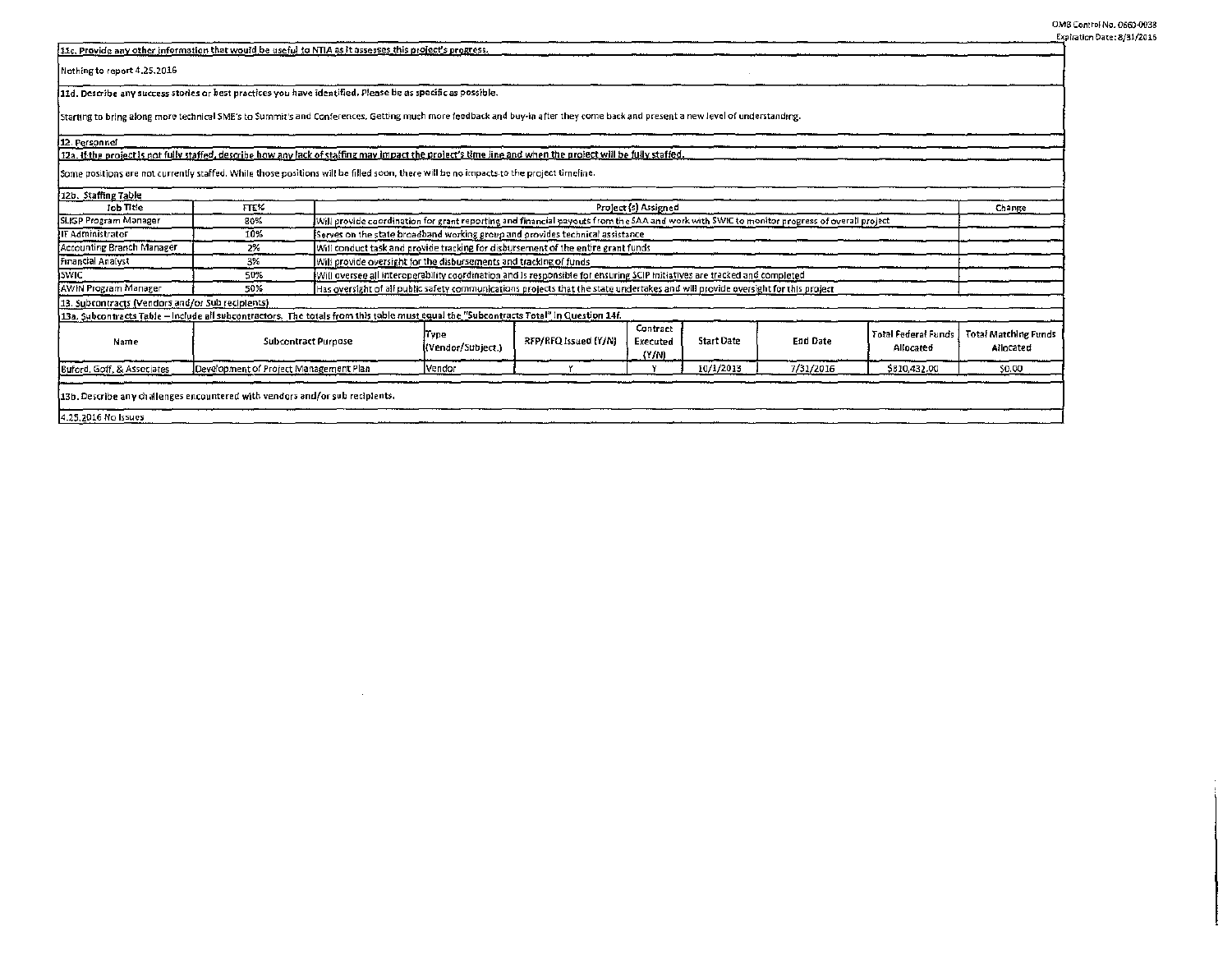OM8 Control No. 0660-0038 Expiration Date: 8/31/2016

| [11c, Provide any other information that would be useful to NTIA as it assesses this project's progress.                                                                       |                                        |                                                                                                                                  |                                                                                                                                            |                      |                               |                   |                 |                                         |                                          |
|--------------------------------------------------------------------------------------------------------------------------------------------------------------------------------|----------------------------------------|----------------------------------------------------------------------------------------------------------------------------------|--------------------------------------------------------------------------------------------------------------------------------------------|----------------------|-------------------------------|-------------------|-----------------|-----------------------------------------|------------------------------------------|
| Nothing to report 4,25,2016                                                                                                                                                    |                                        |                                                                                                                                  |                                                                                                                                            |                      |                               |                   |                 |                                         |                                          |
| 11d. Describe any success stories or best practices you have identified. Please be as specific as possible.                                                                    |                                        |                                                                                                                                  |                                                                                                                                            |                      |                               |                   |                 |                                         |                                          |
| Starting to bring along more technical SME's to Summit's and Conferences. Getting much more feedback and buy-in after they come back and present a new level of understanding. |                                        |                                                                                                                                  |                                                                                                                                            |                      |                               |                   |                 |                                         |                                          |
| 112. Personnel                                                                                                                                                                 |                                        |                                                                                                                                  |                                                                                                                                            |                      |                               |                   |                 |                                         |                                          |
| 12a. If the project is not fully staffed, describe how any lack of staffing may impact the project's time line and when the project will be fully staffed.                     |                                        |                                                                                                                                  |                                                                                                                                            |                      |                               |                   |                 |                                         |                                          |
| Some positions are not currently staffed. While those positions will be filled soon, there will be no impacts to the project timeline.                                         |                                        |                                                                                                                                  |                                                                                                                                            |                      |                               |                   |                 |                                         |                                          |
| 12b. Staffing Table                                                                                                                                                            |                                        |                                                                                                                                  |                                                                                                                                            |                      |                               |                   |                 |                                         |                                          |
| Job Title                                                                                                                                                                      | FTE%                                   |                                                                                                                                  | Project (s) Assigned<br>Change                                                                                                             |                      |                               |                   |                 |                                         |                                          |
| SLIGP Program Manager                                                                                                                                                          | 80%                                    |                                                                                                                                  | Will provide coordination for grant reporting and financial payouts from the SAA and work with SWIC to monitor progress of overall project |                      |                               |                   |                 |                                         |                                          |
| IIT Administrator                                                                                                                                                              | 10%                                    |                                                                                                                                  | Serves on the state broadband working group and provides technical assistance                                                              |                      |                               |                   |                 |                                         |                                          |
| Accounting Branch Manager                                                                                                                                                      | 2%                                     |                                                                                                                                  | Will conduct task and provide tracking for disbursement of the entire grant funds                                                          |                      |                               |                   |                 |                                         |                                          |
| Financial Analyst                                                                                                                                                              | 3%                                     |                                                                                                                                  | Will provide oversight for the disbursements and tracking of funds                                                                         |                      |                               |                   |                 |                                         |                                          |
| <b>ISWIC</b>                                                                                                                                                                   | 50%                                    |                                                                                                                                  | Will oversee all interoperability coordination and is responsible for ensuring SCIP initiatives are tracked and completed                  |                      |                               |                   |                 |                                         |                                          |
| AWIN Program Manager                                                                                                                                                           | 50%                                    | Has oversight of all public safety communications projects that the state undertakes and will provide oversight for this project |                                                                                                                                            |                      |                               |                   |                 |                                         |                                          |
| [13. Subcontracts (Vendors and/or Sub recipients)                                                                                                                              |                                        |                                                                                                                                  |                                                                                                                                            |                      |                               |                   |                 |                                         |                                          |
| 13a. Subcontracts Table - Include all subcontractors. The totals from this table must equal the "Subcontracts Total" in Question 14f.                                          |                                        |                                                                                                                                  |                                                                                                                                            |                      |                               |                   |                 |                                         |                                          |
| Name                                                                                                                                                                           |                                        | <b>Subcontract Purpose</b>                                                                                                       | lType<br>(Vendor/Subject.)                                                                                                                 | RFP/RFQ Issued (Y/N) | Contract<br>Executed<br>(2/n) | <b>Start Date</b> | <b>End Date</b> | <b>Total Federal Funds</b><br>Allocated | <b>Total Matching Funds</b><br>Allocated |
| Buford, Goff, & Associates                                                                                                                                                     | Development of Project Management Plan |                                                                                                                                  | Vendor                                                                                                                                     |                      |                               | 10/1/2013         | 7/31/2016       | \$810,432.00                            | \$0.00                                   |
|                                                                                                                                                                                |                                        |                                                                                                                                  |                                                                                                                                            |                      |                               |                   |                 |                                         |                                          |
| (13b, Describe any challenges encountered with vendors and/or sub recipients.                                                                                                  |                                        |                                                                                                                                  |                                                                                                                                            |                      |                               |                   |                 |                                         |                                          |

 $\sim$ 

4.25, 2016 No Issues